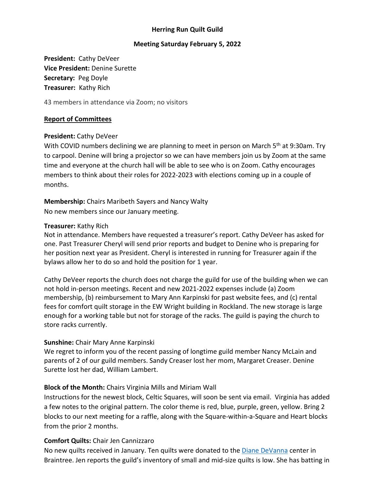### **Herring Run Quilt Guild**

### **Meeting Saturday February 5, 2022**

**President:** Cathy DeVeer **Vice President:** Denine Surette **Secretary:** Peg Doyle **Treasurer:** Kathy Rich

43 members in attendance via Zoom; no visitors

### **Report of Committees**

#### **President:** Cathy DeVeer

With COVID numbers declining we are planning to meet in person on March 5<sup>th</sup> at 9:30am. Try to carpool. Denine will bring a projector so we can have members join us by Zoom at the same time and everyone at the church hall will be able to see who is on Zoom. Cathy encourages members to think about their roles for 2022-2023 with elections coming up in a couple of months.

**Membership:** Chairs Maribeth Sayers and Nancy Walty No new members since our January meeting.

#### **Treasurer:** Kathy Rich

Not in attendance. Members have requested a treasurer's report. Cathy DeVeer has asked for one. Past Treasurer Cheryl will send prior reports and budget to Denine who is preparing for her position next year as President. Cheryl is interested in running for Treasurer again if the bylaws allow her to do so and hold the position for 1 year.

Cathy DeVeer reports the church does not charge the guild for use of the building when we can not hold in-person meetings. Recent and new 2021-2022 expenses include (a) Zoom membership, (b) reimbursement to Mary Ann Karpinski for past website fees, and (c) rental fees for comfort quilt storage in the EW Wright building in Rockland. The new storage is large enough for a working table but not for storage of the racks. The guild is paying the church to store racks currently.

#### **Sunshine:** Chair Mary Anne Karpinski

We regret to inform you of the recent passing of longtime guild member Nancy McLain and parents of 2 of our guild members. Sandy Creaser lost her mom, Margaret Creaser. Denine Surette lost her dad, William Lambert.

### **Block of the Month:** Chairs Virginia Mills and Miriam Wall

Instructions for the newest block, Celtic Squares, will soon be sent via email. Virginia has added a few notes to the original pattern. The color theme is red, blue, purple, green, yellow. Bring 2 blocks to our next meeting for a raffle, along with the Square-within-a-Square and Heart blocks from the prior 2 months.

### **Comfort Quilts:** Chair Jen Cannizzaro

No new quilts received in January. Ten quilts were donated to the *Diane DeVanna* center in Braintree. Jen reports the guild's inventory of small and mid-size quilts is low. She has batting in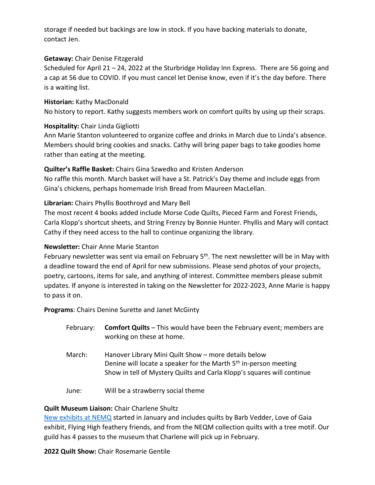storage if needed but backings are low in stock. If you have backing materials to donate, contact Jen.

## **Getaway:** Chair Denise Fitzgerald

Scheduled for April 21 – 24, 2022 at the Sturbridge Holiday Inn Express. There are 56 going and a cap at 56 due to COVID. If you must cancel let Denise know, even if it's the day before. There is a waiting list.

**Historian:** Kathy MacDonald No history to report. Kathy suggests members work on comfort quilts by using up their scraps.

## **Hospitality:** Chair Linda Gigliotti

Ann Marie Stanton volunteered to organize coffee and drinks in March due to Linda's absence. Members should bring cookies and snacks. Cathy will bring paper bags to take goodies home rather than eating at the meeting.

## **Quilter's Raffle Basket:** Chairs Gina Szwedko and Kristen Anderson

No raffle this month. March basket will have a St. Patrick's Day theme and include eggs from Gina's chickens, perhaps homemade Irish Bread from Maureen MacLellan.

## **Librarian:** Chairs Phyllis Boothroyd and Mary Bell

The most recent 4 books added include Morse Code Quilts, Pieced Farm and Forest Friends, Carla Klopp's shortcut sheets, and String Frenzy by Bonnie Hunter. Phyllis and Mary will contact Cathy if they need access to the hall to continue organizing the library.

# **Newsletter:** Chair Anne Marie Stanton

February newsletter was sent via email on February 5<sup>th</sup>. The next newsletter will be in May with a deadline toward the end of April for new submissions. Please send photos of your projects, poetry, cartoons, items for sale, and anything of interest. Committee members please submit updates. If anyone is interested in taking on the Newsletter for 2022-2023, Anne Marie is happy to pass it on.

**Programs**: Chairs Denine Surette and Janet McGinty

| February: | <b>Comfort Quilts</b> - This would have been the February event; members are |
|-----------|------------------------------------------------------------------------------|
|           | working on these at home.                                                    |

- March: Hanover Library Mini Quilt Show more details below Denine will locate a speaker for the Marth 5<sup>th</sup> in-person meeting Show in tell of Mystery Quilts and Carla Klopp's squares will continue
- June: Will be a strawberry social theme

## **Quilt Museum Liaison:** Chair Charlene Shultz

[New exhibits at NEMQ](https://www.neqm.org/on-view-index) started in January and includes quilts by Barb Vedder, Love of Gaia exhibit, Flying High feathery friends, and from the NEQM collection quilts with a tree motif. Our guild has 4 passes to the museum that Charlene will pick up in February.

**2022 Quilt Show:** Chair Rosemarie Gentile